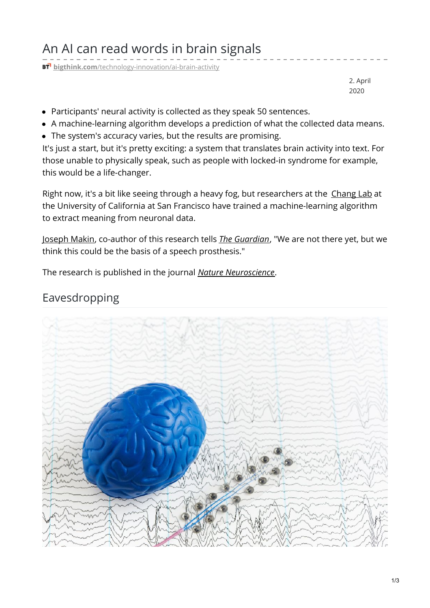## An AI can read words in brain signals

**BT** bigthink.com[/technology-innovation/ai-brain-activity](https://bigthink.com/technology-innovation/ai-brain-activity?rebelltitem=3#rebelltitem3)

2. April 2020

- Participants' neural activity is collected as they speak 50 sentences.
- A machine-learning algorithm develops a prediction of what the collected data means.
- The system's accuracy varies, but the results are promising.

It's just a start, but it's pretty exciting: a system that translates brain activity into text. For those unable to physically speak, such as people with locked-in syndrome for example, this would be a life-changer.

Right now, it's a bit like seeing through a heavy fog, but researchers at the [Chang](http://changlab.ucsf.edu/) Lab at the University of California at San Francisco have trained a machine-learning algorithm to extract meaning from neuronal data.

[Joseph](https://profiles.ucsf.edu/joseph.makin) Makin, co-author of this research tells *The [Guardian](https://www.theguardian.com/science/2020/mar/30/scientists-develop-ai-that-can-turn-brain-activity-into-text)*, "We are not there yet, but we think this could be the basis of a speech prosthesis."

The research is published in the journal *Nature [Neuroscience](https://www.nature.com/articles/s41593-020-0608-8)*.

## Eavesdropping

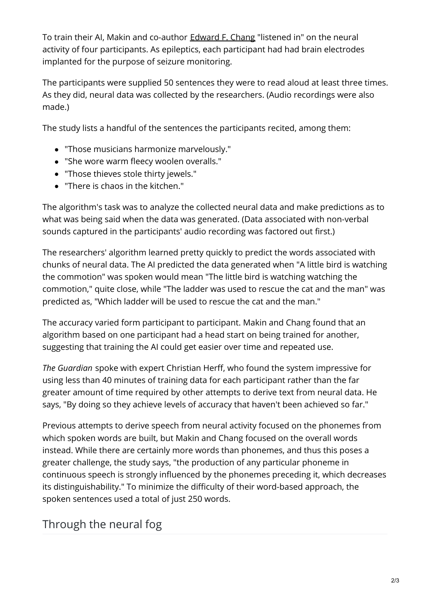To train their AI, Makin and co-author [Edward](http://changlab.ucsf.edu/our-team) F. Chang "listened in" on the neural activity of four participants. As epileptics, each participant had had brain electrodes implanted for the purpose of seizure monitoring.

The participants were supplied 50 sentences they were to read aloud at least three times. As they did, neural data was collected by the researchers. (Audio recordings were also made.)

The study lists a handful of the sentences the participants recited, among them:

- "Those musicians harmonize marvelously."
- "She wore warm fleecy woolen overalls."
- "Those thieves stole thirty jewels."
- "There is chaos in the kitchen."

The algorithm's task was to analyze the collected neural data and make predictions as to what was being said when the data was generated. (Data associated with non-verbal sounds captured in the participants' audio recording was factored out first.)

The researchers' algorithm learned pretty quickly to predict the words associated with chunks of neural data. The AI predicted the data generated when "A little bird is watching the commotion" was spoken would mean "The little bird is watching watching the commotion," quite close, while "The ladder was used to rescue the cat and the man" was predicted as, "Which ladder will be used to rescue the cat and the man."

The accuracy varied form participant to participant. Makin and Chang found that an algorithm based on one participant had a head start on being trained for another, suggesting that training the AI could get easier over time and repeated use.

*The Guardian* spoke with expert Christian Herff, who found the system impressive for using less than 40 minutes of training data for each participant rather than the far greater amount of time required by other attempts to derive text from neural data. He says, "By doing so they achieve levels of accuracy that haven't been achieved so far."

Previous attempts to derive speech from neural activity focused on the phonemes from which spoken words are built, but Makin and Chang focused on the overall words instead. While there are certainly more words than phonemes, and thus this poses a greater challenge, the study says, "the production of any particular phoneme in continuous speech is strongly influenced by the phonemes preceding it, which decreases its distinguishability." To minimize the difficulty of their word-based approach, the spoken sentences used a total of just 250 words.

## Through the neural fog